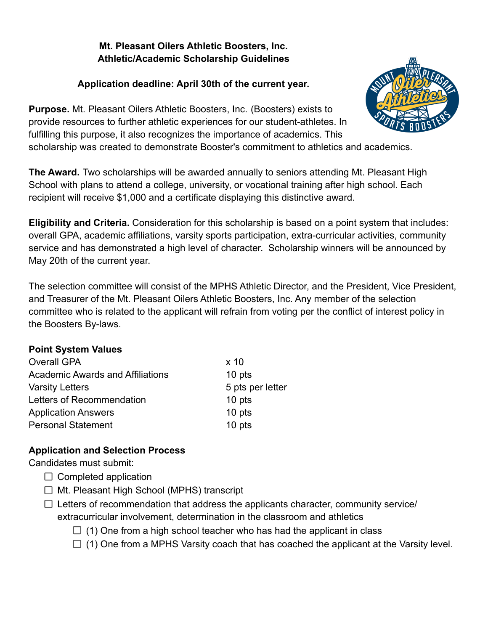# **Mt. Pleasant Oilers Athletic Boosters, Inc. Athletic/Academic Scholarship Guidelines**

## **Application deadline: April 30th of the current year.**

**Purpose.** Mt. Pleasant Oilers Athletic Boosters, Inc. (Boosters) exists to provide resources to further athletic experiences for our student-athletes. In fulfilling this purpose, it also recognizes the importance of academics. This

scholarship was created to demonstrate Booster's commitment to athletics and academics.

**The Award.** Two scholarships will be awarded annually to seniors attending Mt. Pleasant High School with plans to attend a college, university, or vocational training after high school. Each recipient will receive \$1,000 and a certificate displaying this distinctive award.

**Eligibility and Criteria.** Consideration for this scholarship is based on a point system that includes: overall GPA, academic affiliations, varsity sports participation, extra-curricular activities, community service and has demonstrated a high level of character. Scholarship winners will be announced by May 20th of the current year.

The selection committee will consist of the MPHS Athletic Director, and the President, Vice President, and Treasurer of the Mt. Pleasant Oilers Athletic Boosters, Inc. Any member of the selection committee who is related to the applicant will refrain from voting per the conflict of interest policy in the Boosters By-laws.

### **Point System Values**

| x <sub>10</sub>  |
|------------------|
| 10 pts           |
| 5 pts per letter |
| 10 pts           |
| 10 pts           |
| 10 pts           |
|                  |

## **Application and Selection Process**

Candidates must submit:

- $\Box$  Completed application
- $\Box$  Mt. Pleasant High School (MPHS) transcript
- $\Box$  Letters of recommendation that address the applicants character, community service/ extracurricular involvement, determination in the classroom and athletics
	- $\Box$  (1) One from a high school teacher who has had the applicant in class
	- $\Box$  (1) One from a MPHS Varsity coach that has coached the applicant at the Varsity level.